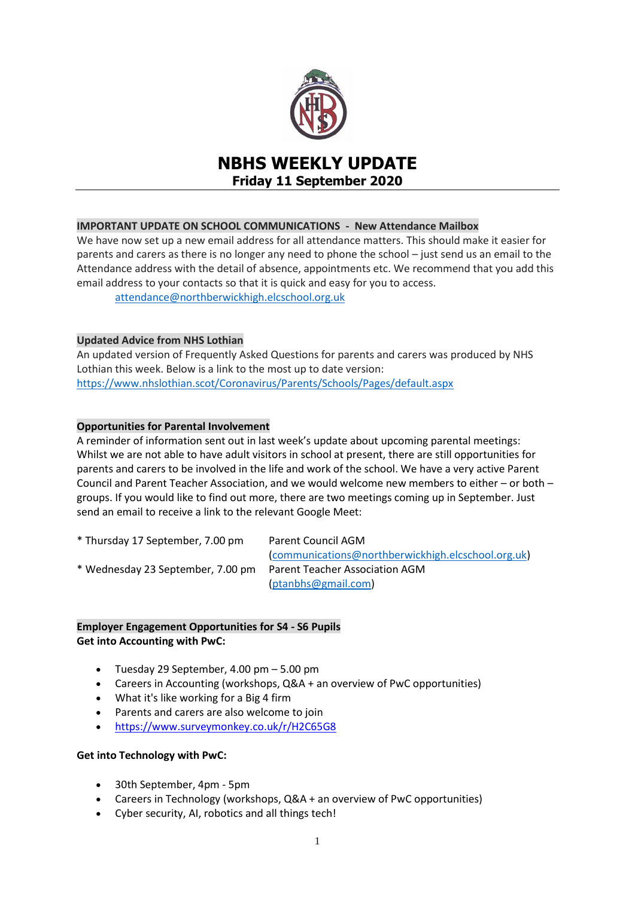

# **NBHS WEEKLY UPDATE Friday 11 September 2020**

## **IMPORTANT UPDATE ON SCHOOL COMMUNICATIONS - New Attendance Mailbox**

We have now set up a new email address for all attendance matters. This should make it easier for parents and carers as there is no longer any need to phone the school – just send us an email to the Attendance address with the detail of absence, appointments etc. We recommend that you add this email address to your contacts so that it is quick and easy for you to access.

[attendance@northberwickhigh.elcschool.org.uk](mailto:attendance@northberwickhigh.elcschool.org.uk)

#### **Updated Advice from NHS Lothian**

An updated version of Frequently Asked Questions for parents and carers was produced by NHS Lothian this week. Below is a link to the most up to date version: <https://www.nhslothian.scot/Coronavirus/Parents/Schools/Pages/default.aspx>

## **Opportunities for Parental Involvement**

A reminder of information sent out in last week's update about upcoming parental meetings: Whilst we are not able to have adult visitors in school at present, there are still opportunities for parents and carers to be involved in the life and work of the school. We have a very active Parent Council and Parent Teacher Association, and we would welcome new members to either – or both – groups. If you would like to find out more, there are two meetings coming up in September. Just send an email to receive a link to the relevant Google Meet:

\* Thursday 17 September, 7.00 pm Parent Council AGM

\* Wednesday 23 September, 7.00 pm Parent Teacher Association AGM

[\(communications@northberwickhigh.elcschool.org.uk\)](mailto:communications@northberwickhigh.elcschool.org.uk) [\(ptanbhs@gmail.com\)](mailto:ptanbhs@gmail.com)

# **Employer Engagement Opportunities for S4 - S6 Pupils Get into Accounting with PwC:**

- $\bullet$  Tuesday 29 September, 4.00 pm  $-5.00$  pm
- Careers in Accounting (workshops, Q&A + an overview of PwC opportunities)
- What it's like working for a Big 4 firm
- Parents and carers are also welcome to join
- [https://www.surveymonkey.co.uk/r/H2C65G8](https://mail.elc.school/owa/redir.aspx?C=x0lNTOEg0zw0ohxhSvdwcrUPMNQF9n1SmAJosCLbh-_DODpSxFPYCA..&URL=https%3a%2f%2fwww.surveymonkey.co.uk%2fr%2fH2C65G8)

#### **Get into Technology with PwC:**

- 30th September, 4pm 5pm
- Careers in Technology (workshops, Q&A + an overview of PwC opportunities)
- Cyber security, AI, robotics and all things tech!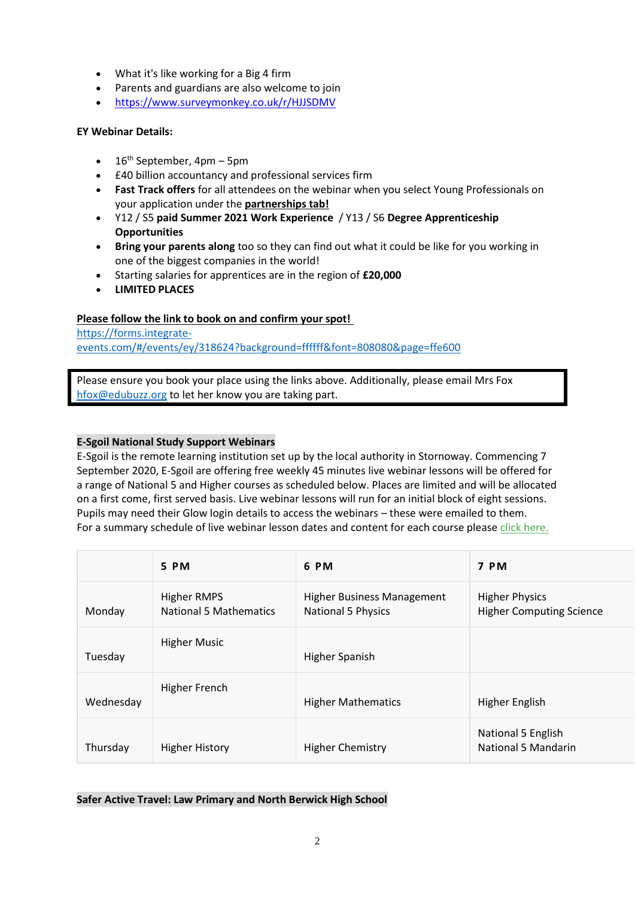- What it's like working for a Big 4 firm
- Parents and guardians are also welcome to join
- [https://www.surveymonkey.co.uk/r/HJJSDMV](https://mail.elc.school/owa/redir.aspx?C=grfmcZygczQZHiR89THCO8T_ySoFnI5qq2U2a5hNIMjDODpSxFPYCA..&URL=https%3a%2f%2fwww.surveymonkey.co.uk%2fr%2fHJJSDMV)

# **EY Webinar Details:**

- $\bullet$  16<sup>th</sup> September, 4pm 5pm
- £40 billion accountancy and professional services firm
- **Fast Track offers** for all attendees on the webinar when you select Young Professionals on your application under the **partnerships tab!**
- Y12 / S5 **paid Summer 2021 Work Experience** / Y13 / S6 **Degree Apprenticeship Opportunities**
- **Bring your parents along** too so they can find out what it could be like for you working in one of the biggest companies in the world!
- Starting salaries for apprentices are in the region of **£20,000**
- **LIMITED PLACES**

# **Please follow the link to book on and confirm your spot!**

[https://forms.integrate](https://forms.integrate-events.com/#/events/ey/318624?background=ffffff&font=808080&page=ffe600)[events.com/#/events/ey/318624?background=ffffff&font=808080&page=ffe600](https://forms.integrate-events.com/#/events/ey/318624?background=ffffff&font=808080&page=ffe600)

Please ensure you book your place using the links above. Additionally, please email Mrs Fox [hfox@edubuzz.org](mailto:hfox@edubuzz.org) to let her know you are taking part.

# **E-Sgoil National Study Support Webinars**

E-Sgoil is the remote learning institution set up by the local authority in Stornoway. Commencing 7 September 2020, E-Sgoil are offering free weekly 45 minutes live webinar lessons will be offered for a range of National 5 and Higher courses as scheduled below. Places are limited and will be allocated on a first come, first served basis. Live webinar lessons will run for an initial block of eight sessions. Pupils may need their Glow login details to access the webinars – these were emailed to them. For a summary schedule of live webinar lesson dates and content for each course please click [here.](http://www.e-sgoil.com/ssnocontentsummary2020/)

|           | 5 PM                                         | 6 PM                                                           | 7 PM                                                     |
|-----------|----------------------------------------------|----------------------------------------------------------------|----------------------------------------------------------|
| Monday    | <b>Higher RMPS</b><br>National 5 Mathematics | <b>Higher Business Management</b><br><b>National 5 Physics</b> | <b>Higher Physics</b><br><b>Higher Computing Science</b> |
| Tuesday   | <b>Higher Music</b>                          | Higher Spanish                                                 |                                                          |
| Wednesday | Higher French                                | <b>Higher Mathematics</b>                                      | Higher English                                           |
| Thursday  | <b>Higher History</b>                        | <b>Higher Chemistry</b>                                        | National 5 English<br><b>National 5 Mandarin</b>         |

**Safer Active Travel: Law Primary and North Berwick High School**